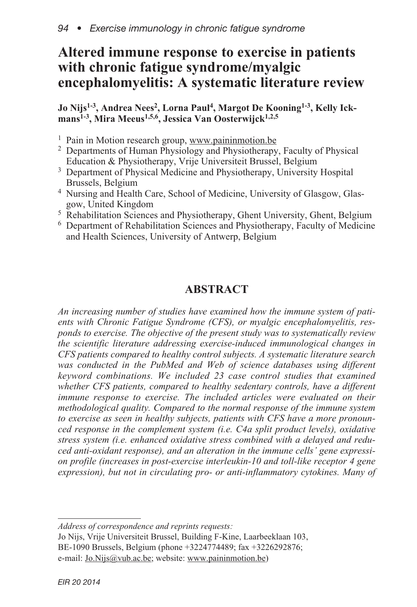# **Altered immune response to exercise in patients with chronic fatigue syndrome/myalgic encephalomyelitis: A systematic literature review**

**Jo Nijs1-3, Andrea Nees2, Lorna Paul 4, Margot De Kooning1-3, Kelly Ickmans1-3, Mira Meeus1,5,6, Jessica Van Oosterwijck1,2,5**

- <sup>1</sup> Pain in Motion research group, www.paininmotion.be
- <sup>2</sup> Departments of Human Physiology and Physiotherapy, Faculty of Physical Education & Physiotherapy, Vrije Universiteit Brussel, Belgium
- <sup>3</sup> Department of Physical Medicine and Physiotherapy, University Hospital Brussels, Belgium
- <sup>4</sup> Nursing and Health Care, School of Medicine, University of Glasgow, Glasgow, United Kingdom
- <sup>5</sup> Rehabilitation Sciences and Physiotherapy, Ghent University, Ghent, Belgium
- <sup>6</sup> Department of Rehabilitation Sciences and Physiotherapy, Faculty of Medicine and Health Sciences, University of Antwerp, Belgium

# **ABSTRACT**

*An increasing number of studies have examined how the immune system of patients with Chronic Fatigue Syndrome (CFS), or myalgic encephalomyelitis, responds to exercise. The objective of the present study was to systematically review the scientific literature addressing exercise-induced immunological changes in CFS patients compared to healthy control subjects. A systematic literature search was conducted in the PubMed and Web of science databases using different keyword combinations. We included 23 case control studies that examined whether CFS patients, compared to healthy sedentary controls, have a different immune response to exercise. The included articles were evaluated on their methodological quality. Compared to the normal response of the immune system to exercise as seen in healthy subjects, patients with CFS have a more pronounced response in the complement system (i.e. C4a split product levels), oxidative stress system (i.e. enhanced oxidative stress combined with a delayed and reduced anti-oxidant response), and an alteration in the immune cells' gene expression profile (increases in post-exercise interleukin-10 and toll-like receptor 4 gene expression), but not in circulating pro- or anti-inflammatory cytokines. Many of*

*Address of correspondence and reprints requests:*

Jo Nijs, Vrije Universiteit Brussel, Building F-Kine, Laarbeeklaan 103, BE-1090 Brussels, Belgium (phone +3224774489; fax +3226292876; e-mail: Jo.Nijs@vub.ac.be; website: www.paininmotion.be)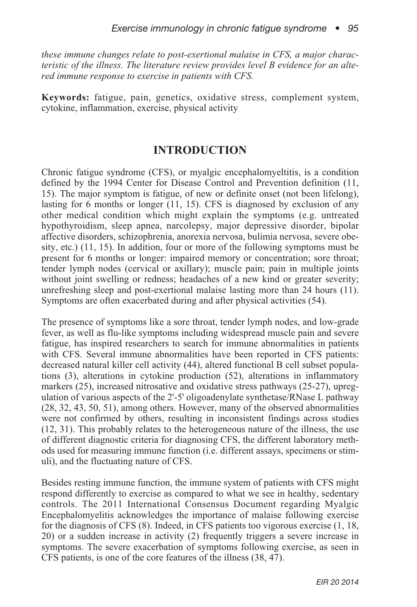*these immune changes relate to post-exertional malaise in CFS, a major characteristic of the illness. The literature review provides level B evidence for an altered immune response to exercise in patients with CFS.*

**Keywords:** fatigue, pain, genetics, oxidative stress, complement system, cytokine, inflammation, exercise, physical activity

### **INTRODUCTION**

Chronic fatigue syndrome (CFS), or myalgic encephalomyeltitis, is a condition defined by the 1994 Center for Disease Control and Prevention definition (11, 15). The major symptom is fatigue, of new or definite onset (not been lifelong), lasting for 6 months or longer (11, 15). CFS is diagnosed by exclusion of any other medical condition which might explain the symptoms (e.g. untreated hypothyroidism, sleep apnea, narcolepsy, major depressive disorder, bipolar affective disorders, schizophrenia, anorexia nervosa, bulimia nervosa, severe obesity, etc.) (11, 15). In addition, four or more of the following symptoms must be present for 6 months or longer: impaired memory or concentration; sore throat; tender lymph nodes (cervical or axillary); muscle pain; pain in multiple joints without joint swelling or redness; headaches of a new kind or greater severity; unrefreshing sleep and post-exertional malaise lasting more than 24 hours (11). Symptoms are often exacerbated during and after physical activities (54).

The presence of symptoms like a sore throat, tender lymph nodes, and low-grade fever, as well as flu-like symptoms including widespread muscle pain and severe fatigue, has inspired researchers to search for immune abnormalities in patients with CFS. Several immune abnormalities have been reported in CFS patients: decreased natural killer cell activity (44), altered functional B cell subset populations (3), alterations in cytokine production (52), alterations in inflammatory markers (25), increased nitrosative and oxidative stress pathways (25-27), upregulation of various aspects of the 2'-5' oligoadenylate synthetase/RNase L pathway (28, 32, 43, 50, 51), among others. However, many of the observed abnormalities were not confirmed by others, resulting in inconsistent findings across studies (12, 31). This probably relates to the heterogeneous nature of the illness, the use of different diagnostic criteria for diagnosing CFS, the different laboratory methods used for measuring immune function (i.e. different assays, specimens or stimuli), and the fluctuating nature of CFS.

Besides resting immune function, the immune system of patients with CFS might respond differently to exercise as compared to what we see in healthy, sedentary controls. The 2011 International Consensus Document regarding Myalgic Encephalomyelitis acknowledges the importance of malaise following exercise for the diagnosis of CFS (8). Indeed, in CFS patients too vigorous exercise (1, 18, 20) or a sudden increase in activity (2) frequently triggers a severe increase in symptoms. The severe exacerbation of symptoms following exercise, as seen in CFS patients, is one of the core features of the illness (38, 47).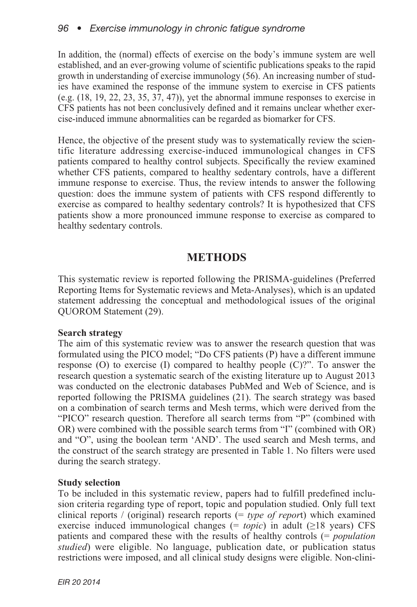In addition, the (normal) effects of exercise on the body's immune system are well established, and an ever-growing volume of scientific publications speaks to the rapid growth in understanding of exercise immunology (56). An increasing number of studies have examined the response of the immune system to exercise in CFS patients (e.g. (18, 19, 22, 23, 35, 37, 47)), yet the abnormal immune responses to exercise in CFS patients has not been conclusively defined and it remains unclear whether exercise-induced immune abnormalities can be regarded as biomarker for CFS.

Hence, the objective of the present study was to systematically review the scientific literature addressing exercise-induced immunological changes in CFS patients compared to healthy control subjects. Specifically the review examined whether CFS patients, compared to healthy sedentary controls, have a different immune response to exercise. Thus, the review intends to answer the following question: does the immune system of patients with CFS respond differently to exercise as compared to healthy sedentary controls? It is hypothesized that CFS patients show a more pronounced immune response to exercise as compared to healthy sedentary controls.

# **METHODS**

This systematic review is reported following the PRISMA-guidelines (Preferred Reporting Items for Systematic reviews and Meta-Analyses), which is an updated statement addressing the conceptual and methodological issues of the original QUOROM Statement (29).

#### **Search strategy**

The aim of this systematic review was to answer the research question that was formulated using the PICO model; "Do CFS patients (P) have a different immune response  $(O)$  to exercise  $(I)$  compared to healthy people  $(C)$ ?". To answer the research question a systematic search of the existing literature up to August 2013 was conducted on the electronic databases PubMed and Web of Science, and is reported following the PRISMA guidelines (21). The search strategy was based on a combination of search terms and Mesh terms, which were derived from the "PICO" research question. Therefore all search terms from "P" (combined with OR) were combined with the possible search terms from "I" (combined with OR) and "O", using the boolean term 'AND'. The used search and Mesh terms, and the construct of the search strategy are presented in Table 1. No filters were used during the search strategy.

### **Study selection**

To be included in this systematic review, papers had to fulfill predefined inclusion criteria regarding type of report, topic and population studied. Only full text clinical reports / (original) research reports (= *type of repor*t) which examined exercise induced immunological changes (= *topic*) in adult (≥18 years) CFS patients and compared these with the results of healthy controls (= *population studied*) were eligible. No language, publication date, or publication status restrictions were imposed, and all clinical study designs were eligible. Non-clini-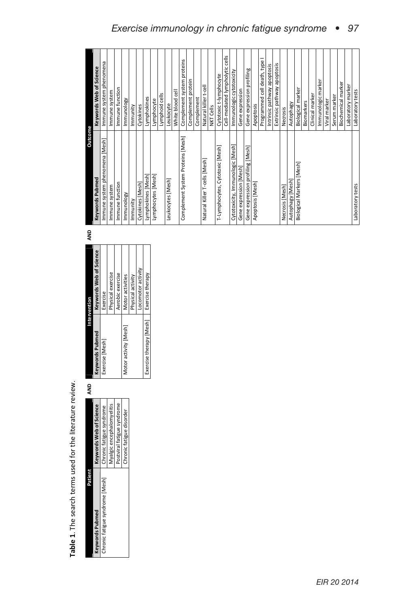# *Exercise immunology in chronic fatigue syndrome • 97*

|                            | <b>QNA</b> |                         | Intervention            | QNA | Outcome                           |                                 |
|----------------------------|------------|-------------------------|-------------------------|-----|-----------------------------------|---------------------------------|
| Keywords Web of Science    |            | Keywords Pubmed         | Keywords Web of Science |     | <b>Keywords Pubmed</b>            | Keywords Web of Science         |
| Chronic fatigue syndrome   |            | Exercise [Mesh]         | Exercise                |     | Immune system phenomena [Mesh]    | Immune system phenomena         |
| Myalgic encephalomyelitis  |            |                         | Physical exercise       |     | Immune system                     | Immune system                   |
| Postviral fatigue syndrome |            |                         | Aerobic exercise        |     | Immune function                   | Immune function                 |
| Chronic fatigue disorder   |            | Motor activity [Mesh]   | Motor activities        |     | Immunology                        | Immunology                      |
|                            |            |                         | Physical activity       |     | Immunity                          | Immunity                        |
|                            |            |                         | Locomotor activity      |     | Cytokines [Mesh]                  | Cytokines                       |
|                            |            | Exercise therapy [Mesh] | Exercise therapy        |     | Lymphokines [Mesh]                | Lymphokines                     |
|                            |            |                         |                         |     | Lymphocytes [Mesh]                | Lymphocyte                      |
|                            |            |                         |                         |     |                                   | Lymphoid cells                  |
|                            |            |                         |                         |     | Leukocytes [Mesh]                 | Leukocyte                       |
|                            |            |                         |                         |     |                                   | White blood cel                 |
|                            |            |                         |                         |     | Complement System Proteins [Mesh] | Complement system proteins      |
|                            |            |                         |                         |     |                                   | Complement protein              |
|                            |            |                         |                         |     |                                   | Complement                      |
|                            |            |                         |                         |     | Natural Killer T-cells [Mesh]     | Natural killer t-cell           |
|                            |            |                         |                         |     |                                   | <b>NKT Cells</b>                |
|                            |            |                         |                         |     | T-Lymphocytes, Cytotoxic [Mesh]   | Cytotoxic t-lymphocyte          |
|                            |            |                         |                         |     |                                   | Cell-mediated lympholytic cells |
|                            |            |                         |                         |     | Cytotoxicity, Immunologic [Mesh]  | Immunologic cytotoxicity        |
|                            |            |                         |                         |     | Gene expression [Mesh]            | Gene expression                 |
|                            |            |                         |                         |     | Gene expression profiling [Mesh]  | Gene expression profiling       |
|                            |            |                         |                         |     | Apoptosis [Mesh]                  | Apoptosis                       |
|                            |            |                         |                         |     |                                   | Programmed cell death, type I   |
|                            |            |                         |                         |     |                                   | Intrinsic pathway apoptosis     |
|                            |            |                         |                         |     |                                   | Extrinsic pathway apoptosis     |
|                            |            |                         |                         |     | Necrosis [Mesh]                   | Necrosis                        |
|                            |            |                         |                         |     | Autophagy [Mesh]                  | <b>Autophagy</b>                |
|                            |            |                         |                         |     | Biological Markers [Mesh]         | Biological marker               |
|                            |            |                         |                         |     |                                   | Biomarkers                      |
|                            |            |                         |                         |     |                                   | Clinical marker                 |
|                            |            |                         |                         |     |                                   | Immunologic marker              |
|                            |            |                         |                         |     |                                   | Viral marker                    |
|                            |            |                         |                         |     |                                   | Serum marker                    |
|                            |            |                         |                         |     |                                   | Biochemical marker              |
|                            |            |                         |                         |     |                                   | Laboratory marker               |
|                            |            |                         |                         |     | Laboratory tests                  | Laboratory tests                |

|                                                          | ֧֧֧֧֧ׅ֧֦֧֧֧֧ׅ֧֧֧֧֧֦֧֧֧֧֧֛֪֧֛֪֧֪ׅ֧֛֪֪֪֪֪֪֪֪֪֪֪֧֚֚֚֚֚֚֚֚֚֚֚֚֚֚֚֚֚֚֚֚֚֝֝֓֝֓֝֓֝֬֝֬֝֓֝֬֜֓֝֬֝֬֝֬֝֬֝֬֝֬ |
|----------------------------------------------------------|--------------------------------------------------------------------------------------------------|
| Table 1. The search terms used for the literature review |                                                                                                  |
|                                                          |                                                                                                  |
|                                                          |                                                                                                  |
|                                                          |                                                                                                  |
|                                                          |                                                                                                  |
|                                                          |                                                                                                  |
|                                                          |                                                                                                  |
|                                                          |                                                                                                  |

| <b>Reader</b>                   |                                                                                                                                                         | 울 |                              | ntervention                             | Ę | Outcome                       |                         |
|---------------------------------|---------------------------------------------------------------------------------------------------------------------------------------------------------|---|------------------------------|-----------------------------------------|---|-------------------------------|-------------------------|
| <b>Keywords Pubmed</b>          | <b>Keywords Web of Science</b>                                                                                                                          |   |                              | Keywords Pubmed Keywords Web of Science |   | <b>Leywords Pubmed</b>        | ceywords Web of Science |
| Chronic fatigue syndrome [Mesh] | Chronic fatigue syndrome                                                                                                                                |   | xercise [Mesh]               | xercise                                 |   | nmune system phenomena [Mesh] | Immune system phenomena |
|                                 | yalgic encephalomyeliti                                                                                                                                 |   |                              | hysical exercise                        |   | imune system.                 | immune system           |
|                                 | <ostviral fatigue="" syndrome<="" td=""><td></td><td></td><td>Aerobic exercise</td><td></td><td>Immune function</td><td>Immune function</td></ostviral> |   |                              | Aerobic exercise                        |   | Immune function               | Immune function         |
|                                 | Chronic fatigue disorder                                                                                                                                |   | <b>Aotor activity [Mesh]</b> | Motor activities                        |   | nmunology                     | Mundosy                 |
|                                 |                                                                                                                                                         |   |                              | <sup>p</sup> hysical activity           |   | Immunity                      | mmunity                 |
|                                 |                                                                                                                                                         |   |                              |                                         |   |                               |                         |

| ×<br>43<br>×. |
|---------------|

*EIR 20 2014*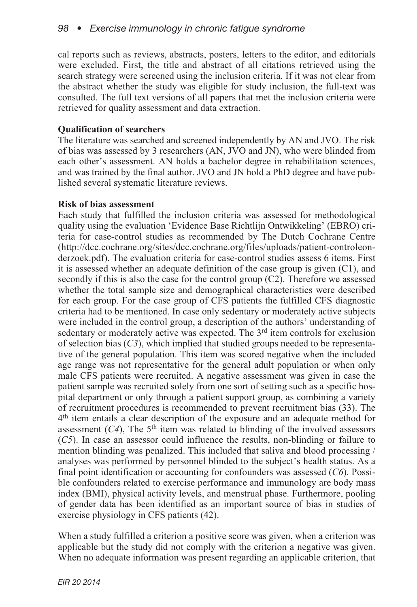cal reports such as reviews, abstracts, posters, letters to the editor, and editorials were excluded. First, the title and abstract of all citations retrieved using the search strategy were screened using the inclusion criteria. If it was not clear from the abstract whether the study was eligible for study inclusion, the full-text was consulted. The full text versions of all papers that met the inclusion criteria were retrieved for quality assessment and data extraction.

### **Qualification of searchers**

The literature was searched and screened independently by AN and JVO. The risk of bias was assessed by 3 researchers (AN, JVO and JN), who were blinded from each other's assessment. AN holds a bachelor degree in rehabilitation sciences, and was trained by the final author. JVO and JN hold a PhD degree and have published several systematic literature reviews.

#### **Risk of bias assessment**

Each study that fulfilled the inclusion criteria was assessed for methodological quality using the evaluation 'Evidence Base Richtlijn Ontwikkeling' (EBRO) criteria for case-control studies as recommended by The Dutch Cochrane Centre (http://dcc.cochrane.org/sites/dcc.cochrane.org/files/uploads/patient-controleonderzoek.pdf). The evaluation criteria for case-control studies assess 6 items. First it is assessed whether an adequate definition of the case group is given (C1), and secondly if this is also the case for the control group (C2). Therefore we assessed whether the total sample size and demographical characteristics were described for each group. For the case group of CFS patients the fulfilled CFS diagnostic criteria had to be mentioned. In case only sedentary or moderately active subjects were included in the control group, a description of the authors' understanding of sedentary or moderately active was expected. The 3<sup>rd</sup> item controls for exclusion of selection bias (*C3*), which implied that studied groups needed to be representative of the general population. This item was scored negative when the included age range was not representative for the general adult population or when only male CFS patients were recruited. A negative assessment was given in case the patient sample was recruited solely from one sort of setting such as a specific hospital department or only through a patient support group, as combining a variety of recruitment procedures is recommended to prevent recruitment bias (33). The 4th item entails a clear description of the exposure and an adequate method for assessment  $(C4)$ , The 5<sup>th</sup> item was related to blinding of the involved assessors (*C5*). In case an assessor could influence the results, non-blinding or failure to mention blinding was penalized. This included that saliva and blood processing / analyses was performed by personnel blinded to the subject's health status. As a final point identification or accounting for confounders was assessed (*C6*). Possible confounders related to exercise performance and immunology are body mass index (BMI), physical activity levels, and menstrual phase. Furthermore, pooling of gender data has been identified as an important source of bias in studies of exercise physiology in CFS patients (42).

When a study fulfilled a criterion a positive score was given, when a criterion was applicable but the study did not comply with the criterion a negative was given. When no adequate information was present regarding an applicable criterion, that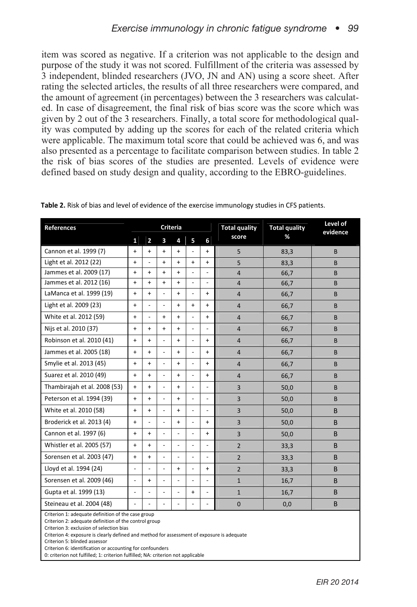item was scored as negative. If a criterion was not applicable to the design and purpose of the study it was not scored. Fulfillment of the criteria was assessed by 3 independent, blinded researchers (JVO, JN and AN) using a score sheet. After rating the selected articles, the results of all three researchers were compared, and the amount of agreement (in percentages) between the 3 researchers was calculated. In case of disagreement, the final risk of bias score was the score which was given by 2 out of the 3 researchers. Finally, a total score for methodological quality was computed by adding up the scores for each of the related criteria which were applicable. The maximum total score that could be achieved was 6, and was also presented as a percentage to facilitate comparison between studies. In table 2 the risk of bias scores of the studies are presented. Levels of evidence were defined based on study design and quality, according to the EBRO-guidelines.

| References                                                                                  |                |                |                          | Criteria                 |                          |                          | <b>Total quality</b> | <b>Total quality</b> | Level of<br>evidence |
|---------------------------------------------------------------------------------------------|----------------|----------------|--------------------------|--------------------------|--------------------------|--------------------------|----------------------|----------------------|----------------------|
|                                                                                             | $\mathbf{1}$   | $\overline{2}$ | 3                        | 4                        | 5                        | 6                        | score                | %                    |                      |
| Cannon et al. 1999 (7)                                                                      | $\ddot{}$      | $+$            | $+$                      | $+$                      |                          | $+$                      | 5                    | 83,3                 | B                    |
| Light et al. 2012 (22)                                                                      | $\ddot{}$      | ÷,             | $+$                      | $\ddot{}$                | $+$                      | $+$                      | 5                    | 83.3                 | B                    |
| Jammes et al. 2009 (17)                                                                     | $\ddot{}$      | $+$            | $+$                      | $+$                      |                          | $\overline{a}$           | $\overline{4}$       | 66,7                 | B                    |
| Jammes et al. 2012 (16)                                                                     | $\ddot{}$      | $+$            | $+$                      | $+$                      | ٠                        | $\overline{a}$           | $\overline{4}$       | 66,7                 | B                    |
| LaManca et al. 1999 (19)                                                                    | $\ddot{}$      | $+$            | $\overline{\phantom{0}}$ | $+$                      | ٠                        | $\ddot{}$                | $\overline{4}$       | 66,7                 | B                    |
| Light et al. 2009 (23)                                                                      | $\ddot{}$      | ÷,             | $\overline{a}$           | $+$                      | $+$                      | $+$                      | $\overline{4}$       | 66,7                 | B                    |
| White et al. 2012 (59)                                                                      | $\ddot{}$      | ÷,             | $+$                      | $+$                      | $\overline{a}$           | $+$                      | $\overline{4}$       | 66,7                 | B                    |
| Nijs et al. 2010 (37)                                                                       | $\ddot{}$      | $+$            | $+$                      | $\ddot{}$                |                          | $\overline{\phantom{a}}$ | $\overline{4}$       | 66,7                 | B                    |
| Robinson et al. 2010 (41)                                                                   | $\ddot{}$      | $+$            | $\overline{a}$           | $\ddot{}$                |                          | $+$                      | $\overline{4}$       | 66,7                 | B                    |
| Jammes et al. 2005 (18)                                                                     | $\ddot{}$      | $+$            | $\overline{a}$           | $+$                      | ÷.                       | $+$                      | $\overline{4}$       | 66,7                 | B                    |
| Smylie et al. 2013 (45)                                                                     | $\ddot{}$      | $+$            | $\overline{a}$           | $\ddot{}$                |                          | $+$                      | $\overline{4}$       | 66,7                 | B                    |
| Suarez et al. 2010 (49)                                                                     | $\ddot{}$      | $+$            | $\overline{a}$           | $\ddot{}$                | $\overline{a}$           | $+$                      | $\overline{4}$       | 66,7                 | B                    |
| Thambirajah et al. 2008 (53)                                                                | $\ddot{}$      | $+$            | $\overline{\phantom{0}}$ | $\ddot{}$                | $\overline{a}$           | $\overline{\phantom{a}}$ | $\overline{3}$       | 50,0                 | B                    |
| Peterson et al. 1994 (39)                                                                   | $\ddot{}$      | $+$            | $\overline{a}$           | $+$                      | ÷.                       | $\overline{\phantom{a}}$ | 3                    | 50,0                 | B                    |
| White et al. 2010 (58)                                                                      | $\ddot{}$      | $+$            | $\overline{a}$           | $\ddot{}$                | ÷.                       | $\overline{\phantom{a}}$ | $\overline{3}$       | 50,0                 | B                    |
| Broderick et al. 2013 (4)                                                                   | $\ddot{}$      | ÷.             | $\overline{a}$           | $+$                      | ٠                        | $+$                      | 3                    | 50,0                 | B                    |
| Cannon et al. 1997 (6)                                                                      | $\ddot{}$      | $+$            | $\overline{a}$           | $\overline{a}$           |                          | $+$                      | 3                    | 50,0                 | B                    |
| Whistler et al. 2005 (57)                                                                   | $\ddot{}$      | $+$            | $\overline{a}$           | $\overline{a}$           |                          | $\overline{a}$           | $\overline{2}$       | 33,3                 | B                    |
| Sorensen et al. 2003 (47)                                                                   | $\ddot{}$      | $+$            | $\overline{\phantom{0}}$ | $\overline{\phantom{a}}$ | $\overline{\phantom{0}}$ | $\overline{\phantom{a}}$ | $\overline{2}$       | 33,3                 | B                    |
| Lloyd et al. 1994 (24)                                                                      | $\overline{a}$ |                | $\overline{a}$           | $\ddot{}$                |                          | $+$                      | $\overline{2}$       | 33,3                 | B                    |
| Sorensen et al. 2009 (46)                                                                   | $\overline{a}$ | $+$            | $\overline{a}$           | $\overline{a}$           |                          | $\overline{a}$           | $\mathbf{1}$         | 16,7                 | B                    |
| Gupta et al. 1999 (13)                                                                      | $\overline{a}$ | ÷,             | $\overline{a}$           | $\overline{a}$           | $+$                      | $\overline{a}$           | $\mathbf{1}$         | 16,7                 | B                    |
| Steineau et al. 2004 (48)                                                                   | $\overline{a}$ |                | $\overline{a}$           | $\overline{a}$           |                          | $\overline{a}$           | $\mathbf 0$          | 0,0                  | B                    |
| Criterion 1: adequate definition of the case group<br>$\sim$<br>$\sim$ $\sim$ $\sim$ $\sim$ |                |                |                          |                          |                          |                          |                      |                      |                      |

Table 2. Risk of bias and level of evidence of the exercise immunology studies in CFS patients.

Criterion 2: adequate definition of the control group

Criterion 3: exclusion of selection bias

Criterion 4: exposure is clearly defined and method for assessment of exposure is adequate

Criterion 5: blinded assessor

Criterion 6: identification or accounting for confounders

0: criterion not fulfilled; 1: criterion fulfilled; NA: criterion not applicable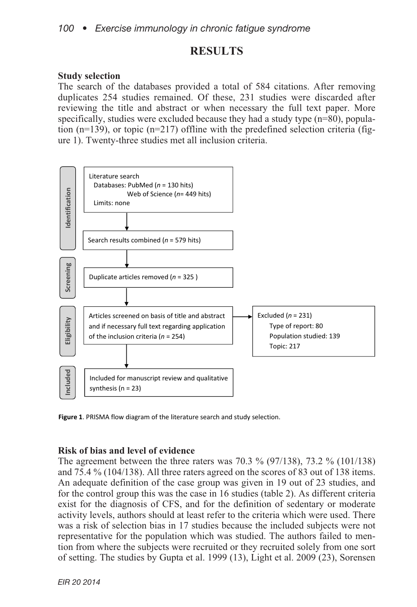### **RESULTS**

#### **Study selection**

The search of the databases provided a total of 584 citations. After removing duplicates 254 studies remained. Of these, 231 studies were discarded after reviewing the title and abstract or when necessary the full text paper. More specifically, studies were excluded because they had a study type  $(n=80)$ , population ( $n=139$ ), or topic ( $n=217$ ) offline with the predefined selection criteria (figure 1). Twenty-three studies met all inclusion criteria.



Figure 1. PRISMA flow diagram of the literature search and study selection.

#### **Risk of bias and level of evidence**

The agreement between the three raters was 70.3 % (97/138), 73.2 % (101/138) and 75.4 % (104/138). All three raters agreed on the scores of 83 out of 138 items. An adequate definition of the case group was given in 19 out of 23 studies, and for the control group this was the case in 16 studies (table 2). As different criteria exist for the diagnosis of CFS, and for the definition of sedentary or moderate activity levels, authors should at least refer to the criteria which were used. There was a risk of selection bias in 17 studies because the included subjects were not representative for the population which was studied. The authors failed to mention from where the subjects were recruited or they recruited solely from one sort of setting. The studies by Gupta et al. 1999 (13), Light et al. 2009 (23), Sorensen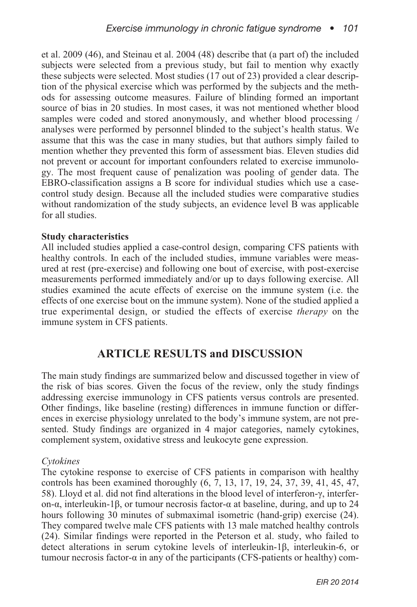et al. 2009 (46), and Steinau et al. 2004 (48) describe that (a part of) the included subjects were selected from a previous study, but fail to mention why exactly these subjects were selected. Most studies (17 out of 23) provided a clear description of the physical exercise which was performed by the subjects and the methods for assessing outcome measures. Failure of blinding formed an important source of bias in 20 studies. In most cases, it was not mentioned whether blood samples were coded and stored anonymously, and whether blood processing / analyses were performed by personnel blinded to the subject's health status. We assume that this was the case in many studies, but that authors simply failed to mention whether they prevented this form of assessment bias. Eleven studies did not prevent or account for important confounders related to exercise immunology. The most frequent cause of penalization was pooling of gender data. The EBRO-classification assigns a B score for individual studies which use a casecontrol study design. Because all the included studies were comparative studies without randomization of the study subjects, an evidence level B was applicable for all studies.

#### **Study characteristics**

All included studies applied a case-control design, comparing CFS patients with healthy controls. In each of the included studies, immune variables were measured at rest (pre-exercise) and following one bout of exercise, with post-exercise measurements performed immediately and/or up to days following exercise. All studies examined the acute effects of exercise on the immune system (i.e. the effects of one exercise bout on the immune system). None of the studied applied a true experimental design, or studied the effects of exercise *therapy* on the immune system in CFS patients.

## **ARTICLE RESULTS and DISCUSSION**

The main study findings are summarized below and discussed together in view of the risk of bias scores. Given the focus of the review, only the study findings addressing exercise immunology in CFS patients versus controls are presented. Other findings, like baseline (resting) differences in immune function or differences in exercise physiology unrelated to the body's immune system, are not presented. Study findings are organized in 4 major categories, namely cytokines, complement system, oxidative stress and leukocyte gene expression.

#### *Cytokines*

The cytokine response to exercise of CFS patients in comparison with healthy controls has been examined thoroughly (6, 7, 13, 17, 19, 24, 37, 39, 41, 45, 47, 58). Lloyd et al. did not find alterations in the blood level of interferon-γ, interferon-α, interleukin-1β, or tumour necrosis factor-α at baseline, during, and up to 24 hours following 30 minutes of submaximal isometric (hand-grip) exercise (24). They compared twelve male CFS patients with 13 male matched healthy controls (24). Similar findings were reported in the Peterson et al. study, who failed to detect alterations in serum cytokine levels of interleukin-1β, interleukin-6, or tumour necrosis factor- $\alpha$  in any of the participants (CFS-patients or healthy) com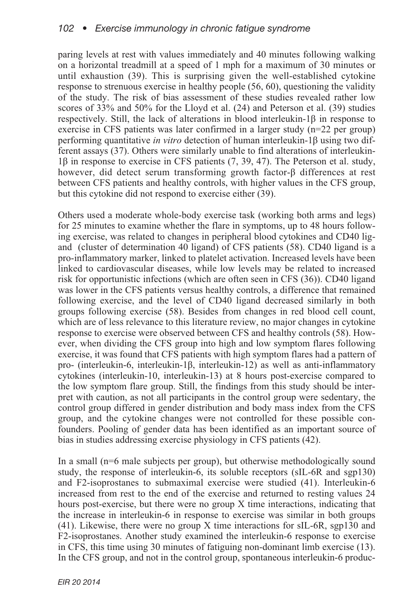paring levels at rest with values immediately and 40 minutes following walking on a horizontal treadmill at a speed of 1 mph for a maximum of 30 minutes or until exhaustion (39). This is surprising given the well-established cytokine response to strenuous exercise in healthy people (56, 60), questioning the validity of the study. The risk of bias assessment of these studies revealed rather low scores of 33% and 50% for the Lloyd et al. (24) and Peterson et al. (39) studies respectively. Still, the lack of alterations in blood interleukin-1β in response to exercise in CFS patients was later confirmed in a larger study (n=22 per group) performing quantitative *in vitro* detection of human interleukin-1β using two different assays (37). Others were similarly unable to find alterations of interleukin-1β in response to exercise in CFS patients (7, 39, 47). The Peterson et al. study, however, did detect serum transforming growth factor-β differences at rest between CFS patients and healthy controls, with higher values in the CFS group, but this cytokine did not respond to exercise either (39).

Others used a moderate whole-body exercise task (working both arms and legs) for 25 minutes to examine whether the flare in symptoms, up to 48 hours following exercise, was related to changes in peripheral blood cytokines and CD40 ligand (cluster of determination 40 ligand) of CFS patients (58). CD40 ligand is a pro-inflammatory marker, linked to platelet activation. Increased levels have been linked to cardiovascular diseases, while low levels may be related to increased risk for opportunistic infections (which are often seen in CFS (36)). CD40 ligand was lower in the CFS patients versus healthy controls, a difference that remained following exercise, and the level of CD40 ligand decreased similarly in both groups following exercise (58). Besides from changes in red blood cell count, which are of less relevance to this literature review, no major changes in cytokine response to exercise were observed between CFS and healthy controls (58). However, when dividing the CFS group into high and low symptom flares following exercise, it was found that CFS patients with high symptom flares had a pattern of pro- (interleukin-6, interleukin-1β, interleukin-12) as well as anti-inflammatory cytokines (interleukin-10, interleukin-13) at 8 hours post-exercise compared to the low symptom flare group. Still, the findings from this study should be interpret with caution, as not all participants in the control group were sedentary, the control group differed in gender distribution and body mass index from the CFS group, and the cytokine changes were not controlled for these possible confounders. Pooling of gender data has been identified as an important source of bias in studies addressing exercise physiology in CFS patients (42).

In a small (n=6 male subjects per group), but otherwise methodologically sound study, the response of interleukin-6, its soluble receptors (sIL-6R and sgp130) and F2-isoprostanes to submaximal exercise were studied (41). Interleukin-6 increased from rest to the end of the exercise and returned to resting values 24 hours post-exercise, but there were no group X time interactions, indicating that the increase in interleukin-6 in response to exercise was similar in both groups (41). Likewise, there were no group X time interactions for sIL-6R, sgp130 and F2-isoprostanes. Another study examined the interleukin-6 response to exercise in CFS, this time using 30 minutes of fatiguing non-dominant limb exercise (13). In the CFS group, and not in the control group, spontaneous interleukin-6 produc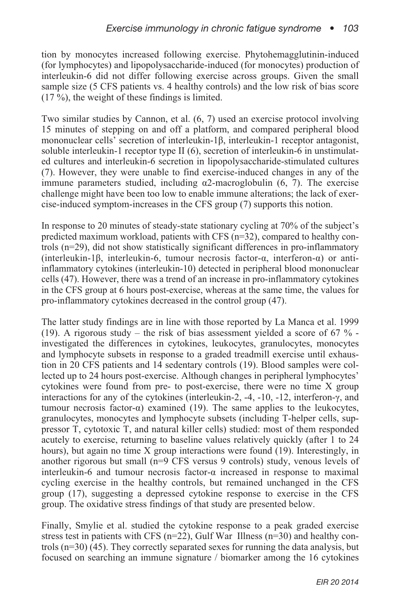tion by monocytes increased following exercise. Phytohemagglutinin-induced (for lymphocytes) and lipopolysaccharide-induced (for monocytes) production of interleukin-6 did not differ following exercise across groups. Given the small sample size (5 CFS patients vs. 4 healthy controls) and the low risk of bias score  $(17 \%)$ , the weight of these findings is limited.

Two similar studies by Cannon, et al. (6, 7) used an exercise protocol involving 15 minutes of stepping on and off a platform, and compared peripheral blood mononuclear cells' secretion of interleukin-1β, interleukin-1 receptor antagonist, soluble interleukin-1 receptor type II (6), secretion of interleukin-6 in unstimulated cultures and interleukin-6 secretion in lipopolysaccharide-stimulated cultures (7). However, they were unable to find exercise-induced changes in any of the immune parameters studied, including α2-macroglobulin (6, 7). The exercise challenge might have been too low to enable immune alterations; the lack of exercise-induced symptom-increases in the CFS group (7) supports this notion.

In response to 20 minutes of steady-state stationary cycling at 70% of the subject's predicted maximum workload, patients with CFS (n=32), compared to healthy controls (n=29), did not show statistically significant differences in pro-inflammatory (interleukin-1β, interleukin-6, tumour necrosis factor-α, interferon-α) or antiinflammatory cytokines (interleukin-10) detected in peripheral blood mononuclear cells (47). However, there was a trend of an increase in pro-inflammatory cytokines in the CFS group at 6 hours post-exercise, whereas at the same time, the values for pro-inflammatory cytokines decreased in the control group (47).

The latter study findings are in line with those reported by La Manca et al. 1999 (19). A rigorous study – the risk of bias assessment yielded a score of 67  $\%$  investigated the differences in cytokines, leukocytes, granulocytes, monocytes and lymphocyte subsets in response to a graded treadmill exercise until exhaustion in 20 CFS patients and 14 sedentary controls (19). Blood samples were collected up to 24 hours post-exercise. Although changes in peripheral lymphocytes' cytokines were found from pre- to post-exercise, there were no time X group interactions for any of the cytokines (interleukin-2, -4, -10, -12, interferon-γ, and tumour necrosis factor-α) examined (19). The same applies to the leukocytes, granulocytes, monocytes and lymphocyte subsets (including T-helper cells, suppressor T, cytotoxic T, and natural killer cells) studied: most of them responded acutely to exercise, returning to baseline values relatively quickly (after 1 to 24 hours), but again no time X group interactions were found (19). Interestingly, in another rigorous but small (n=9 CFS versus 9 controls) study, venous levels of interleukin-6 and tumour necrosis factor- $\alpha$  increased in response to maximal cycling exercise in the healthy controls, but remained unchanged in the CFS group (17), suggesting a depressed cytokine response to exercise in the CFS group. The oxidative stress findings of that study are presented below.

Finally, Smylie et al. studied the cytokine response to a peak graded exercise stress test in patients with CFS ( $n=22$ ), Gulf War Illness ( $n=30$ ) and healthy controls  $(n=30)$  (45). They correctly separated sexes for running the data analysis, but focused on searching an immune signature / biomarker among the 16 cytokines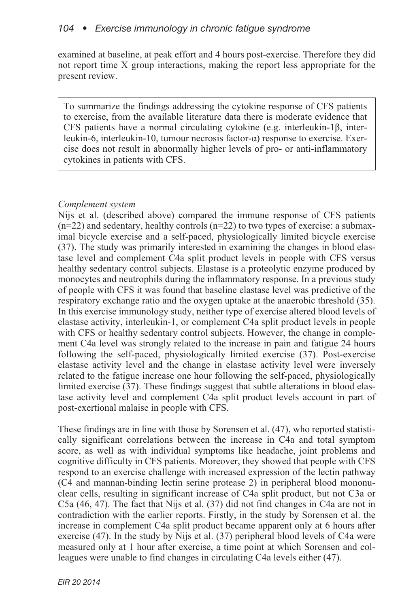examined at baseline, at peak effort and 4 hours post-exercise. Therefore they did not report time X group interactions, making the report less appropriate for the present review.

To summarize the findings addressing the cytokine response of CFS patients to exercise, from the available literature data there is moderate evidence that CFS patients have a normal circulating cytokine (e.g. interleukin-1β, interleukin-6, interleukin-10, tumour necrosis factor-α) response to exercise. Exercise does not result in abnormally higher levels of pro- or anti-inflammatory cytokines in patients with CFS.

### *Complement system*

Nijs et al. (described above) compared the immune response of CFS patients  $(n=22)$  and sedentary, healthy controls  $(n=22)$  to two types of exercise: a submaximal bicycle exercise and a self-paced, physiologically limited bicycle exercise (37). The study was primarily interested in examining the changes in blood elastase level and complement C4a split product levels in people with CFS versus healthy sedentary control subjects. Elastase is a proteolytic enzyme produced by monocytes and neutrophils during the inflammatory response. In a previous study of people with CFS it was found that baseline elastase level was predictive of the respiratory exchange ratio and the oxygen uptake at the anaerobic threshold (35). In this exercise immunology study, neither type of exercise altered blood levels of elastase activity, interleukin-1, or complement C4a split product levels in people with CFS or healthy sedentary control subjects. However, the change in complement C4a level was strongly related to the increase in pain and fatigue 24 hours following the self-paced, physiologically limited exercise (37). Post-exercise elastase activity level and the change in elastase activity level were inversely related to the fatigue increase one hour following the self-paced, physiologically limited exercise (37). These findings suggest that subtle alterations in blood elastase activity level and complement C4a split product levels account in part of post-exertional malaise in people with CFS.

These findings are in line with those by Sorensen et al. (47), who reported statistically significant correlations between the increase in C4a and total symptom score, as well as with individual symptoms like headache, joint problems and cognitive difficulty in CFS patients. Moreover, they showed that people with CFS respond to an exercise challenge with increased expression of the lectin pathway (C4 and mannan-binding lectin serine protease 2) in peripheral blood mononuclear cells, resulting in significant increase of C4a split product, but not C3a or C5a (46, 47). The fact that Nijs et al. (37) did not find changes in C4a are not in contradiction with the earlier reports. Firstly, in the study by Sorensen et al. the increase in complement C4a split product became apparent only at 6 hours after exercise (47). In the study by Nijs et al. (37) peripheral blood levels of C4a were measured only at 1 hour after exercise, a time point at which Sorensen and colleagues were unable to find changes in circulating C4a levels either (47).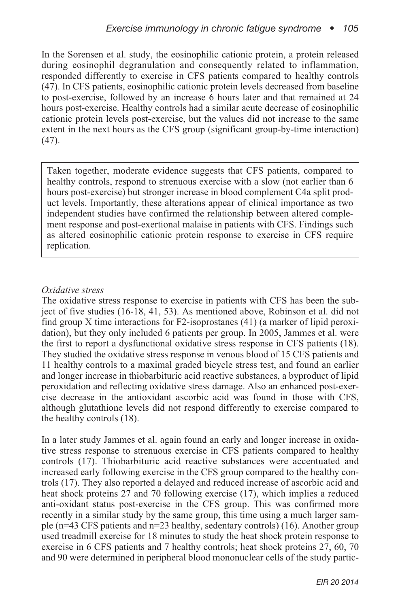In the Sorensen et al. study, the eosinophilic cationic protein, a protein released during eosinophil degranulation and consequently related to inflammation, responded differently to exercise in CFS patients compared to healthy controls (47). In CFS patients, eosinophilic cationic protein levels decreased from baseline to post-exercise, followed by an increase 6 hours later and that remained at 24 hours post-exercise. Healthy controls had a similar acute decrease of eosinophilic cationic protein levels post-exercise, but the values did not increase to the same extent in the next hours as the CFS group (significant group-by-time interaction)  $(47)$ .

Taken together, moderate evidence suggests that CFS patients, compared to healthy controls, respond to strenuous exercise with a slow (not earlier than 6 hours post-exercise) but stronger increase in blood complement C4a split product levels. Importantly, these alterations appear of clinical importance as two independent studies have confirmed the relationship between altered complement response and post-exertional malaise in patients with CFS. Findings such as altered eosinophilic cationic protein response to exercise in CFS require replication.

### *Oxidative stress*

The oxidative stress response to exercise in patients with CFS has been the subject of five studies (16-18, 41, 53). As mentioned above, Robinson et al. did not find group X time interactions for F2-isoprostanes (41) (a marker of lipid peroxidation), but they only included 6 patients per group. In 2005, Jammes et al. were the first to report a dysfunctional oxidative stress response in CFS patients (18). They studied the oxidative stress response in venous blood of 15 CFS patients and 11 healthy controls to a maximal graded bicycle stress test, and found an earlier and longer increase in thiobarbituric acid reactive substances, a byproduct of lipid peroxidation and reflecting oxidative stress damage. Also an enhanced post-exercise decrease in the antioxidant ascorbic acid was found in those with CFS, although glutathione levels did not respond differently to exercise compared to the healthy controls (18).

In a later study Jammes et al. again found an early and longer increase in oxidative stress response to strenuous exercise in CFS patients compared to healthy controls (17). Thiobarbituric acid reactive substances were accentuated and increased early following exercise in the CFS group compared to the healthy controls (17). They also reported a delayed and reduced increase of ascorbic acid and heat shock proteins 27 and 70 following exercise (17), which implies a reduced anti-oxidant status post-exercise in the CFS group. This was confirmed more recently in a similar study by the same group, this time using a much larger sample (n=43 CFS patients and n=23 healthy, sedentary controls) (16). Another group used treadmill exercise for 18 minutes to study the heat shock protein response to exercise in 6 CFS patients and 7 healthy controls; heat shock proteins 27, 60, 70 and 90 were determined in peripheral blood mononuclear cells of the study partic-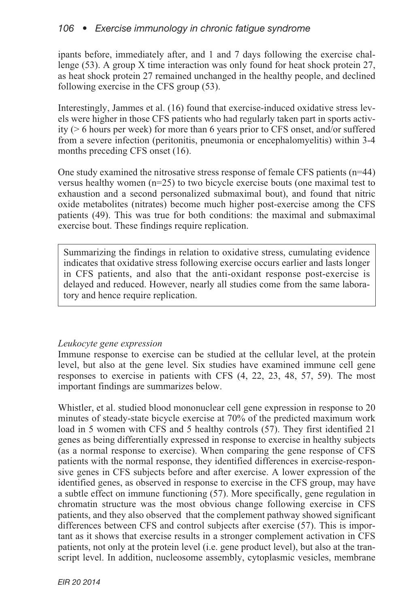### *106 • Exercise immunology in chronic fatigue syndrome*

ipants before, immediately after, and 1 and 7 days following the exercise challenge (53). A group X time interaction was only found for heat shock protein 27, as heat shock protein 27 remained unchanged in the healthy people, and declined following exercise in the CFS group (53).

Interestingly, Jammes et al. (16) found that exercise-induced oxidative stress levels were higher in those CFS patients who had regularly taken part in sports activity (> 6 hours per week) for more than 6 years prior to CFS onset, and/or suffered from a severe infection (peritonitis, pneumonia or encephalomyelitis) within 3-4 months preceding CFS onset (16).

One study examined the nitrosative stress response of female CFS patients  $(n=44)$ versus healthy women  $(n=25)$  to two bicycle exercise bouts (one maximal test to exhaustion and a second personalized submaximal bout), and found that nitric oxide metabolites (nitrates) become much higher post-exercise among the CFS patients (49). This was true for both conditions: the maximal and submaximal exercise bout. These findings require replication.

Summarizing the findings in relation to oxidative stress, cumulating evidence indicates that oxidative stress following exercise occurs earlier and lasts longer in CFS patients, and also that the anti-oxidant response post-exercise is delayed and reduced. However, nearly all studies come from the same laboratory and hence require replication.

#### *Leukocyte gene expression*

Immune response to exercise can be studied at the cellular level, at the protein level, but also at the gene level. Six studies have examined immune cell gene responses to exercise in patients with CFS (4, 22, 23, 48, 57, 59). The most important findings are summarizes below.

Whistler, et al. studied blood mononuclear cell gene expression in response to 20 minutes of steady-state bicycle exercise at 70% of the predicted maximum work load in 5 women with CFS and 5 healthy controls (57). They first identified 21 genes as being differentially expressed in response to exercise in healthy subjects (as a normal response to exercise). When comparing the gene response of CFS patients with the normal response, they identified differences in exercise-responsive genes in CFS subjects before and after exercise. A lower expression of the identified genes, as observed in response to exercise in the CFS group, may have a subtle effect on immune functioning (57). More specifically, gene regulation in chromatin structure was the most obvious change following exercise in CFS patients, and they also observed that the complement pathway showed significant differences between CFS and control subjects after exercise (57). This is important as it shows that exercise results in a stronger complement activation in CFS patients, not only at the protein level (i.e. gene product level), but also at the transcript level. In addition, nucleosome assembly, cytoplasmic vesicles, membrane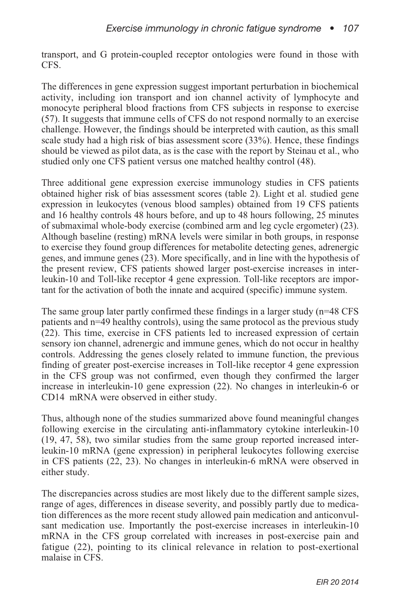transport, and G protein-coupled receptor ontologies were found in those with CFS.

The differences in gene expression suggest important perturbation in biochemical activity, including ion transport and ion channel activity of lymphocyte and monocyte peripheral blood fractions from CFS subjects in response to exercise (57). It suggests that immune cells of CFS do not respond normally to an exercise challenge. However, the findings should be interpreted with caution, as this small scale study had a high risk of bias assessment score (33%). Hence, these findings should be viewed as pilot data, as is the case with the report by Steinau et al., who studied only one CFS patient versus one matched healthy control (48).

Three additional gene expression exercise immunology studies in CFS patients obtained higher risk of bias assessment scores (table 2). Light et al. studied gene expression in leukocytes (venous blood samples) obtained from 19 CFS patients and 16 healthy controls 48 hours before, and up to 48 hours following, 25 minutes of submaximal whole-body exercise (combined arm and leg cycle ergometer) (23). Although baseline (resting) mRNA levels were similar in both groups, in response to exercise they found group differences for metabolite detecting genes, adrenergic genes, and immune genes (23). More specifically, and in line with the hypothesis of the present review, CFS patients showed larger post-exercise increases in interleukin-10 and Toll-like receptor 4 gene expression. Toll-like receptors are important for the activation of both the innate and acquired (specific) immune system.

The same group later partly confirmed these findings in a larger study (n=48 CFS patients and n=49 healthy controls), using the same protocol as the previous study (22). This time, exercise in CFS patients led to increased expression of certain sensory ion channel, adrenergic and immune genes, which do not occur in healthy controls. Addressing the genes closely related to immune function, the previous finding of greater post-exercise increases in Toll-like receptor 4 gene expression in the CFS group was not confirmed, even though they confirmed the larger increase in interleukin-10 gene expression (22). No changes in interleukin-6 or CD14 mRNA were observed in either study.

Thus, although none of the studies summarized above found meaningful changes following exercise in the circulating anti-inflammatory cytokine interleukin-10 (19, 47, 58), two similar studies from the same group reported increased interleukin-10 mRNA (gene expression) in peripheral leukocytes following exercise in CFS patients (22, 23). No changes in interleukin-6 mRNA were observed in either study.

The discrepancies across studies are most likely due to the different sample sizes, range of ages, differences in disease severity, and possibly partly due to medication differences as the more recent study allowed pain medication and anticonvulsant medication use. Importantly the post-exercise increases in interleukin-10 mRNA in the CFS group correlated with increases in post-exercise pain and fatigue (22), pointing to its clinical relevance in relation to post-exertional malaise in CFS.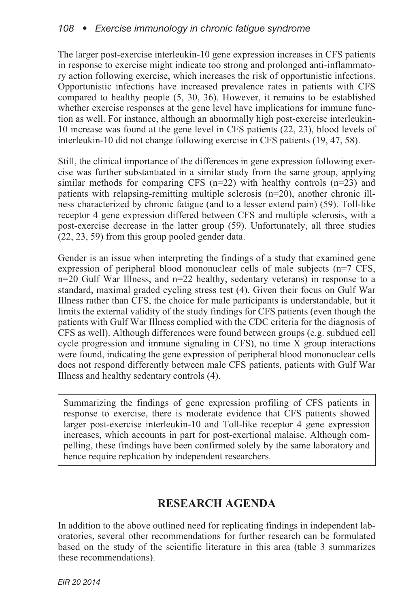The larger post-exercise interleukin-10 gene expression increases in CFS patients in response to exercise might indicate too strong and prolonged anti-inflammatory action following exercise, which increases the risk of opportunistic infections. Opportunistic infections have increased prevalence rates in patients with CFS compared to healthy people (5, 30, 36). However, it remains to be established whether exercise responses at the gene level have implications for immune function as well. For instance, although an abnormally high post-exercise interleukin-10 increase was found at the gene level in CFS patients (22, 23), blood levels of interleukin-10 did not change following exercise in CFS patients (19, 47, 58).

Still, the clinical importance of the differences in gene expression following exercise was further substantiated in a similar study from the same group, applying similar methods for comparing CFS  $(n=22)$  with healthy controls  $(n=23)$  and patients with relapsing-remitting multiple sclerosis (n=20), another chronic illness characterized by chronic fatigue (and to a lesser extend pain) (59). Toll-like receptor 4 gene expression differed between CFS and multiple sclerosis, with a post-exercise decrease in the latter group (59). Unfortunately, all three studies (22, 23, 59) from this group pooled gender data.

Gender is an issue when interpreting the findings of a study that examined gene expression of peripheral blood mononuclear cells of male subjects (n=7 CFS, n=20 Gulf War Illness, and n=22 healthy, sedentary veterans) in response to a standard, maximal graded cycling stress test (4). Given their focus on Gulf War Illness rather than CFS, the choice for male participants is understandable, but it limits the external validity of the study findings for CFS patients (even though the patients with Gulf War Illness complied with the CDC criteria for the diagnosis of CFS as well). Although differences were found between groups (e.g. subdued cell cycle progression and immune signaling in CFS), no time X group interactions were found, indicating the gene expression of peripheral blood mononuclear cells does not respond differently between male CFS patients, patients with Gulf War Illness and healthy sedentary controls (4).

Summarizing the findings of gene expression profiling of CFS patients in response to exercise, there is moderate evidence that CFS patients showed larger post-exercise interleukin-10 and Toll-like receptor 4 gene expression increases, which accounts in part for post-exertional malaise. Although compelling, these findings have been confirmed solely by the same laboratory and hence require replication by independent researchers.

# **RESEARCH AGENDA**

In addition to the above outlined need for replicating findings in independent laboratories, several other recommendations for further research can be formulated based on the study of the scientific literature in this area (table 3 summarizes these recommendations).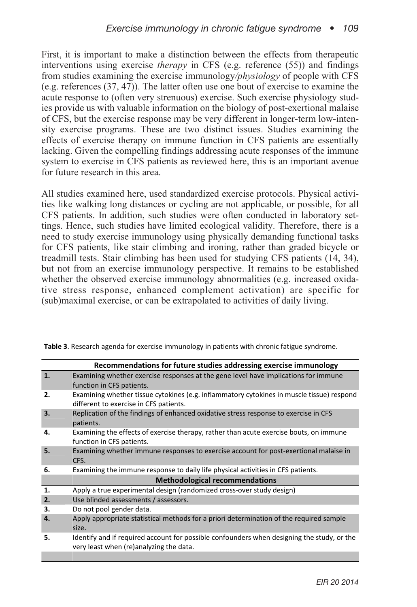First, it is important to make a distinction between the effects from therapeutic interventions using exercise *therapy* in CFS (e.g. reference (55)) and findings from studies examining the exercise immunology*/physiology* of people with CFS (e.g. references (37, 47)). The latter often use one bout of exercise to examine the acute response to (often very strenuous) exercise. Such exercise physiology studies provide us with valuable information on the biology of post-exertional malaise of CFS, but the exercise response may be very different in longer-term low-intensity exercise programs. These are two distinct issues. Studies examining the effects of exercise therapy on immune function in CFS patients are essentially lacking. Given the compelling findings addressing acute responses of the immune system to exercise in CFS patients as reviewed here, this is an important avenue for future research in this area.

All studies examined here, used standardized exercise protocols. Physical activities like walking long distances or cycling are not applicable, or possible, for all CFS patients. In addition, such studies were often conducted in laboratory settings. Hence, such studies have limited ecological validity. Therefore, there is a need to study exercise immunology using physically demanding functional tasks for CFS patients, like stair climbing and ironing, rather than graded bicycle or treadmill tests. Stair climbing has been used for studying CFS patients (14, 34), but not from an exercise immunology perspective. It remains to be established whether the observed exercise immunology abnormalities (e.g. increased oxidative stress response, enhanced complement activation) are specific for (sub)maximal exercise, or can be extrapolated to activities of daily living.

|    | Recommendations for future studies addressing exercise immunology                                                                     |
|----|---------------------------------------------------------------------------------------------------------------------------------------|
| 1. | Examining whether exercise responses at the gene level have implications for immune<br>function in CFS patients.                      |
| 2. | Examining whether tissue cytokines (e.g. inflammatory cytokines in muscle tissue) respond<br>different to exercise in CFS patients.   |
| 3. | Replication of the findings of enhanced oxidative stress response to exercise in CFS<br>patients.                                     |
| 4. | Examining the effects of exercise therapy, rather than acute exercise bouts, on immune<br>function in CFS patients.                   |
| 5. | Examining whether immune responses to exercise account for post-exertional malaise in<br>CFS.                                         |
| 6. | Examining the immune response to daily life physical activities in CFS patients.                                                      |
|    | <b>Methodological recommendations</b>                                                                                                 |
| 1. | Apply a true experimental design (randomized cross-over study design)                                                                 |
| 2. | Use blinded assessments / assessors.                                                                                                  |
| 3. | Do not pool gender data.                                                                                                              |
| 4. | Apply appropriate statistical methods for a priori determination of the required sample<br>size.                                      |
| 5. | Identify and if required account for possible confounders when designing the study, or the<br>very least when (re)analyzing the data. |
|    |                                                                                                                                       |

Table 3. Research agenda for exercise immunology in patients with chronic fatigue syndrome.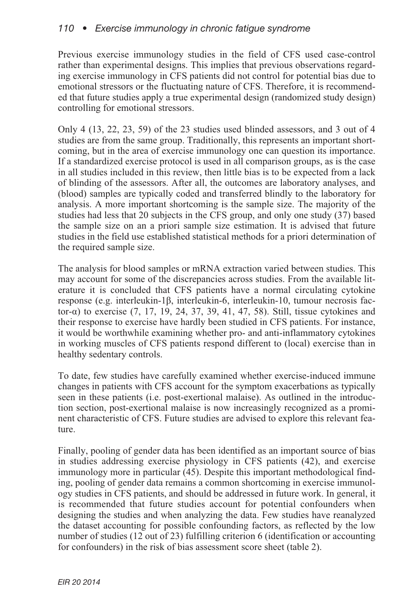Previous exercise immunology studies in the field of CFS used case-control rather than experimental designs. This implies that previous observations regarding exercise immunology in CFS patients did not control for potential bias due to emotional stressors or the fluctuating nature of CFS. Therefore, it is recommended that future studies apply a true experimental design (randomized study design) controlling for emotional stressors.

Only 4 (13, 22, 23, 59) of the 23 studies used blinded assessors, and 3 out of 4 studies are from the same group. Traditionally, this represents an important shortcoming, but in the area of exercise immunology one can question its importance. If a standardized exercise protocol is used in all comparison groups, as is the case in all studies included in this review, then little bias is to be expected from a lack of blinding of the assessors. After all, the outcomes are laboratory analyses, and (blood) samples are typically coded and transferred blindly to the laboratory for analysis. A more important shortcoming is the sample size. The majority of the studies had less that 20 subjects in the CFS group, and only one study (37) based the sample size on an a priori sample size estimation. It is advised that future studies in the field use established statistical methods for a priori determination of the required sample size.

The analysis for blood samples or mRNA extraction varied between studies. This may account for some of the discrepancies across studies. From the available literature it is concluded that CFS patients have a normal circulating cytokine response (e.g. interleukin-1β, interleukin-6, interleukin-10, tumour necrosis factor-α) to exercise (7, 17, 19, 24, 37, 39, 41, 47, 58). Still, tissue cytokines and their response to exercise have hardly been studied in CFS patients. For instance, it would be worthwhile examining whether pro- and anti-inflammatory cytokines in working muscles of CFS patients respond different to (local) exercise than in healthy sedentary controls.

To date, few studies have carefully examined whether exercise-induced immune changes in patients with CFS account for the symptom exacerbations as typically seen in these patients (i.e. post-exertional malaise). As outlined in the introduction section, post-exertional malaise is now increasingly recognized as a prominent characteristic of CFS. Future studies are advised to explore this relevant feature.

Finally, pooling of gender data has been identified as an important source of bias in studies addressing exercise physiology in CFS patients (42), and exercise immunology more in particular (45). Despite this important methodological finding, pooling of gender data remains a common shortcoming in exercise immunology studies in CFS patients, and should be addressed in future work. In general, it is recommended that future studies account for potential confounders when designing the studies and when analyzing the data. Few studies have reanalyzed the dataset accounting for possible confounding factors, as reflected by the low number of studies (12 out of 23) fulfilling criterion 6 (identification or accounting for confounders) in the risk of bias assessment score sheet (table 2).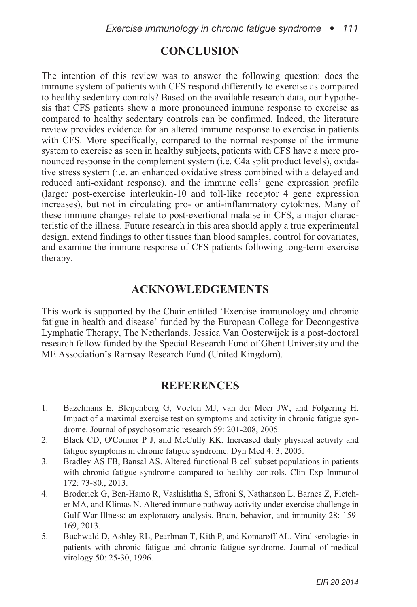# **CONCLUSION**

The intention of this review was to answer the following question: does the immune system of patients with CFS respond differently to exercise as compared to healthy sedentary controls? Based on the available research data, our hypothesis that CFS patients show a more pronounced immune response to exercise as compared to healthy sedentary controls can be confirmed. Indeed, the literature review provides evidence for an altered immune response to exercise in patients with CFS. More specifically, compared to the normal response of the immune system to exercise as seen in healthy subjects, patients with CFS have a more pronounced response in the complement system (i.e. C4a split product levels), oxidative stress system (i.e. an enhanced oxidative stress combined with a delayed and reduced anti-oxidant response), and the immune cells' gene expression profile (larger post-exercise interleukin-10 and toll-like receptor 4 gene expression increases), but not in circulating pro- or anti-inflammatory cytokines. Many of these immune changes relate to post-exertional malaise in CFS, a major characteristic of the illness. Future research in this area should apply a true experimental design, extend findings to other tissues than blood samples, control for covariates, and examine the immune response of CFS patients following long-term exercise therapy.

### **ACKNOWLEDGEMENTS**

This work is supported by the Chair entitled 'Exercise immunology and chronic fatigue in health and disease' funded by the European College for Decongestive Lymphatic Therapy, The Netherlands. Jessica Van Oosterwijck is a post-doctoral research fellow funded by the Special Research Fund of Ghent University and the ME Association's Ramsay Research Fund (United Kingdom).

## **REFERENCES**

- 1. Bazelmans E, Bleijenberg G, Voeten MJ, van der Meer JW, and Folgering H. Impact of a maximal exercise test on symptoms and activity in chronic fatigue syndrome. Journal of psychosomatic research 59: 201-208, 2005.
- 2. Black CD, O'Connor P J, and McCully KK. Increased daily physical activity and fatigue symptoms in chronic fatigue syndrome. Dyn Med 4: 3, 2005.
- 3. Bradley AS FB, Bansal AS. Altered functional B cell subset populations in patients with chronic fatigue syndrome compared to healthy controls. Clin Exp Immunol 172: 73-80., 2013.
- 4. Broderick G, Ben-Hamo R, Vashishtha S, Efroni S, Nathanson L, Barnes Z, Fletcher MA, and Klimas N. Altered immune pathway activity under exercise challenge in Gulf War Illness: an exploratory analysis. Brain, behavior, and immunity 28: 159- 169, 2013.
- 5. Buchwald D, Ashley RL, Pearlman T, Kith P, and Komaroff AL. Viral serologies in patients with chronic fatigue and chronic fatigue syndrome. Journal of medical virology 50: 25-30, 1996.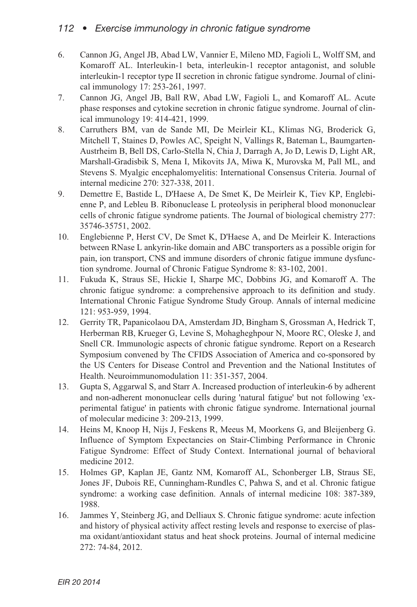### *112 • Exercise immunology in chronic fatigue syndrome*

- 6. Cannon JG, Angel JB, Abad LW, Vannier E, Mileno MD, Fagioli L, Wolff SM, and Komaroff AL. Interleukin-1 beta, interleukin-1 receptor antagonist, and soluble interleukin-1 receptor type II secretion in chronic fatigue syndrome. Journal of clinical immunology 17: 253-261, 1997.
- 7. Cannon JG, Angel JB, Ball RW, Abad LW, Fagioli L, and Komaroff AL. Acute phase responses and cytokine secretion in chronic fatigue syndrome. Journal of clinical immunology 19: 414-421, 1999.
- 8. Carruthers BM, van de Sande MI, De Meirleir KL, Klimas NG, Broderick G, Mitchell T, Staines D, Powles AC, Speight N, Vallings R, Bateman L, Baumgarten-Austrheim B, Bell DS, Carlo-Stella N, Chia J, Darragh A, Jo D, Lewis D, Light AR, Marshall-Gradisbik S, Mena I, Mikovits JA, Miwa K, Murovska M, Pall ML, and Stevens S. Myalgic encephalomyelitis: International Consensus Criteria. Journal of internal medicine 270: 327-338, 2011.
- 9. Demettre E, Bastide L, D'Haese A, De Smet K, De Meirleir K, Tiev KP, Englebienne P, and Lebleu B. Ribonuclease L proteolysis in peripheral blood mononuclear cells of chronic fatigue syndrome patients. The Journal of biological chemistry 277: 35746-35751, 2002.
- 10. Englebienne P, Herst CV, De Smet K, D'Haese A, and De Meirleir K. Interactions between RNase L ankyrin-like domain and ABC transporters as a possible origin for pain, ion transport, CNS and immune disorders of chronic fatigue immune dysfunction syndrome. Journal of Chronic Fatigue Syndrome 8: 83-102, 2001.
- 11. Fukuda K, Straus SE, Hickie I, Sharpe MC, Dobbins JG, and Komaroff A. The chronic fatigue syndrome: a comprehensive approach to its definition and study. International Chronic Fatigue Syndrome Study Group. Annals of internal medicine 121: 953-959, 1994.
- 12. Gerrity TR, Papanicolaou DA, Amsterdam JD, Bingham S, Grossman A, Hedrick T, Herberman RB, Krueger G, Levine S, Mohagheghpour N, Moore RC, Oleske J, and Snell CR. Immunologic aspects of chronic fatigue syndrome. Report on a Research Symposium convened by The CFIDS Association of America and co-sponsored by the US Centers for Disease Control and Prevention and the National Institutes of Health. Neuroimmunomodulation 11: 351-357, 2004.
- 13. Gupta S, Aggarwal S, and Starr A. Increased production of interleukin-6 by adherent and non-adherent mononuclear cells during 'natural fatigue' but not following 'experimental fatigue' in patients with chronic fatigue syndrome. International journal of molecular medicine 3: 209-213, 1999.
- 14. Heins M, Knoop H, Nijs J, Feskens R, Meeus M, Moorkens G, and Bleijenberg G. Influence of Symptom Expectancies on Stair-Climbing Performance in Chronic Fatigue Syndrome: Effect of Study Context. International journal of behavioral medicine 2012.
- 15. Holmes GP, Kaplan JE, Gantz NM, Komaroff AL, Schonberger LB, Straus SE, Jones JF, Dubois RE, Cunningham-Rundles C, Pahwa S, and et al. Chronic fatigue syndrome: a working case definition. Annals of internal medicine 108: 387-389, 1988.
- 16. Jammes Y, Steinberg JG, and Delliaux S. Chronic fatigue syndrome: acute infection and history of physical activity affect resting levels and response to exercise of plasma oxidant/antioxidant status and heat shock proteins. Journal of internal medicine 272: 74-84, 2012.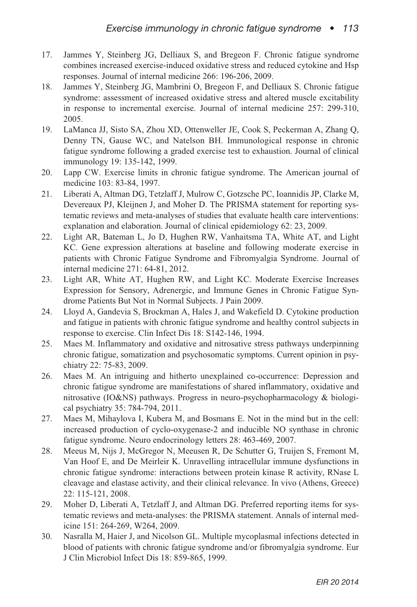- 17. Jammes Y, Steinberg JG, Delliaux S, and Bregeon F. Chronic fatigue syndrome combines increased exercise-induced oxidative stress and reduced cytokine and Hsp responses. Journal of internal medicine 266: 196-206, 2009.
- 18. Jammes Y, Steinberg JG, Mambrini O, Bregeon F, and Delliaux S. Chronic fatigue syndrome: assessment of increased oxidative stress and altered muscle excitability in response to incremental exercise. Journal of internal medicine 257: 299-310, 2005.
- 19. LaManca JJ, Sisto SA, Zhou XD, Ottenweller JE, Cook S, Peckerman A, Zhang Q, Denny TN, Gause WC, and Natelson BH. Immunological response in chronic fatigue syndrome following a graded exercise test to exhaustion. Journal of clinical immunology 19: 135-142, 1999.
- 20. Lapp CW. Exercise limits in chronic fatigue syndrome. The American journal of medicine 103: 83-84, 1997.
- 21. Liberati A, Altman DG, Tetzlaff J, Mulrow C, Gotzsche PC, Ioannidis JP, Clarke M, Devereaux PJ, Kleijnen J, and Moher D. The PRISMA statement for reporting systematic reviews and meta-analyses of studies that evaluate health care interventions: explanation and elaboration. Journal of clinical epidemiology 62: 23, 2009.
- 22. Light AR, Bateman L, Jo D, Hughen RW, Vanhaitsma TA, White AT, and Light KC. Gene expression alterations at baseline and following moderate exercise in patients with Chronic Fatigue Syndrome and Fibromyalgia Syndrome. Journal of internal medicine 271: 64-81, 2012.
- 23. Light AR, White AT, Hughen RW, and Light KC. Moderate Exercise Increases Expression for Sensory, Adrenergic, and Immune Genes in Chronic Fatigue Syndrome Patients But Not in Normal Subjects. J Pain 2009.
- 24. Lloyd A, Gandevia S, Brockman A, Hales J, and Wakefield D. Cytokine production and fatigue in patients with chronic fatigue syndrome and healthy control subjects in response to exercise. Clin Infect Dis 18: S142-146, 1994.
- 25. Maes M. Inflammatory and oxidative and nitrosative stress pathways underpinning chronic fatigue, somatization and psychosomatic symptoms. Current opinion in psychiatry 22: 75-83, 2009.
- 26. Maes M. An intriguing and hitherto unexplained co-occurrence: Depression and chronic fatigue syndrome are manifestations of shared inflammatory, oxidative and nitrosative (IO&NS) pathways. Progress in neuro-psychopharmacology & biological psychiatry 35: 784-794, 2011.
- 27. Maes M, Mihaylova I, Kubera M, and Bosmans E. Not in the mind but in the cell: increased production of cyclo-oxygenase-2 and inducible NO synthase in chronic fatigue syndrome. Neuro endocrinology letters 28: 463-469, 2007.
- 28. Meeus M, Nijs J, McGregor N, Meeusen R, De Schutter G, Truijen S, Fremont M, Van Hoof E, and De Meirleir K. Unravelling intracellular immune dysfunctions in chronic fatigue syndrome: interactions between protein kinase R activity, RNase L cleavage and elastase activity, and their clinical relevance. In vivo (Athens, Greece) 22: 115-121, 2008.
- 29. Moher D, Liberati A, Tetzlaff J, and Altman DG. Preferred reporting items for systematic reviews and meta-analyses: the PRISMA statement. Annals of internal medicine 151: 264-269, W264, 2009.
- 30. Nasralla M, Haier J, and Nicolson GL. Multiple mycoplasmal infections detected in blood of patients with chronic fatigue syndrome and/or fibromyalgia syndrome. Eur J Clin Microbiol Infect Dis 18: 859-865, 1999.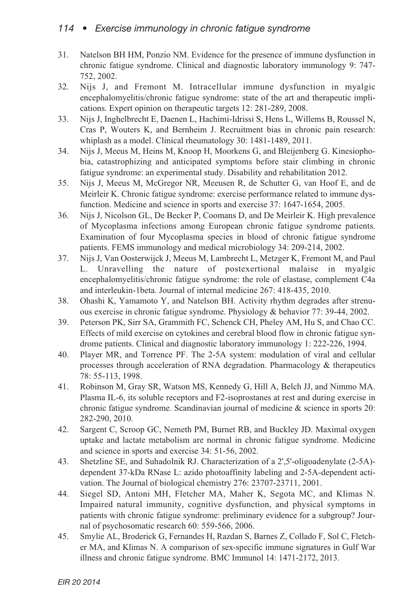- 31. Natelson BH HM, Ponzio NM. Evidence for the presence of immune dysfunction in chronic fatigue syndrome. Clinical and diagnostic laboratory immunology 9: 747- 752, 2002.
- 32. Nijs J, and Fremont M. Intracellular immune dysfunction in myalgic encephalomyelitis/chronic fatigue syndrome: state of the art and therapeutic implications. Expert opinion on therapeutic targets 12: 281-289, 2008.
- 33. Nijs J, Inghelbrecht E, Daenen L, Hachimi-Idrissi S, Hens L, Willems B, Roussel N, Cras P, Wouters K, and Bernheim J. Recruitment bias in chronic pain research: whiplash as a model. Clinical rheumatology 30: 1481-1489, 2011.
- 34. Nijs J, Meeus M, Heins M, Knoop H, Moorkens G, and Bleijenberg G. Kinesiophobia, catastrophizing and anticipated symptoms before stair climbing in chronic fatigue syndrome: an experimental study. Disability and rehabilitation 2012.
- 35. Nijs J, Meeus M, McGregor NR, Meeusen R, de Schutter G, van Hoof E, and de Meirleir K. Chronic fatigue syndrome: exercise performance related to immune dysfunction. Medicine and science in sports and exercise 37: 1647-1654, 2005.
- 36. Nijs J, Nicolson GL, De Becker P, Coomans D, and De Meirleir K. High prevalence of Mycoplasma infections among European chronic fatigue syndrome patients. Examination of four Mycoplasma species in blood of chronic fatigue syndrome patients. FEMS immunology and medical microbiology 34: 209-214, 2002.
- 37. Nijs J, Van Oosterwijck J, Meeus M, Lambrecht L, Metzger K, Fremont M, and Paul L. Unravelling the nature of postexertional malaise in myalgic encephalomyelitis/chronic fatigue syndrome: the role of elastase, complement C4a and interleukin-1beta. Journal of internal medicine 267: 418-435, 2010.
- 38. Ohashi K, Yamamoto Y, and Natelson BH. Activity rhythm degrades after strenuous exercise in chronic fatigue syndrome. Physiology & behavior 77: 39-44, 2002.
- 39. Peterson PK, Sirr SA, Grammith FC, Schenck CH, Pheley AM, Hu S, and Chao CC. Effects of mild exercise on cytokines and cerebral blood flow in chronic fatigue syndrome patients. Clinical and diagnostic laboratory immunology 1: 222-226, 1994.
- 40. Player MR, and Torrence PF. The 2-5A system: modulation of viral and cellular processes through acceleration of RNA degradation. Pharmacology & therapeutics 78: 55-113, 1998.
- 41. Robinson M, Gray SR, Watson MS, Kennedy G, Hill A, Belch JJ, and Nimmo MA. Plasma IL-6, its soluble receptors and F2-isoprostanes at rest and during exercise in chronic fatigue syndrome. Scandinavian journal of medicine & science in sports 20: 282-290, 2010.
- 42. Sargent C, Scroop GC, Nemeth PM, Burnet RB, and Buckley JD. Maximal oxygen uptake and lactate metabolism are normal in chronic fatigue syndrome. Medicine and science in sports and exercise 34: 51-56, 2002.
- 43. Shetzline SE, and Suhadolnik RJ. Characterization of a 2',5'-oligoadenylate (2-5A) dependent 37-kDa RNase L: azido photoaffinity labeling and 2-5A-dependent activation. The Journal of biological chemistry 276: 23707-23711, 2001.
- 44. Siegel SD, Antoni MH, Fletcher MA, Maher K, Segota MC, and Klimas N. Impaired natural immunity, cognitive dysfunction, and physical symptoms in patients with chronic fatigue syndrome: preliminary evidence for a subgroup? Journal of psychosomatic research 60: 559-566, 2006.
- 45. Smylie AL, Broderick G, Fernandes H, Razdan S, Barnes Z, Collado F, Sol C, Fletcher MA, and Klimas N. A comparison of sex-specific immune signatures in Gulf War illness and chronic fatigue syndrome. BMC Immunol 14: 1471-2172, 2013.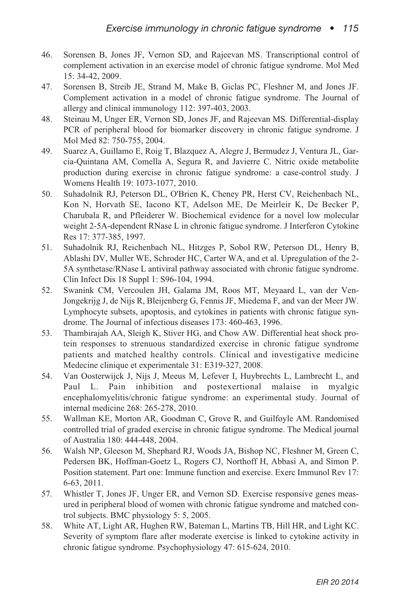- 46. Sorensen B, Jones JF, Vernon SD, and Rajeevan MS. Transcriptional control of complement activation in an exercise model of chronic fatigue syndrome. Mol Med 15: 34-42, 2009.
- 47. Sorensen B, Streib JE, Strand M, Make B, Giclas PC, Fleshner M, and Jones JF. Complement activation in a model of chronic fatigue syndrome. The Journal of allergy and clinical immunology 112: 397-403, 2003.
- 48. Steinau M, Unger ER, Vernon SD, Jones JF, and Rajeevan MS. Differential-display PCR of peripheral blood for biomarker discovery in chronic fatigue syndrome. J Mol Med 82: 750-755, 2004.
- 49. Suarez A, Guillamo E, Roig T, Blazquez A, Alegre J, Bermudez J, Ventura JL, Garcia-Quintana AM, Comella A, Segura R, and Javierre C. Nitric oxide metabolite production during exercise in chronic fatigue syndrome: a case-control study. J Womens Health 19: 1073-1077, 2010.
- 50. Suhadolnik RJ, Peterson DL, O'Brien K, Cheney PR, Herst CV, Reichenbach NL, Kon N, Horvath SE, Iacono KT, Adelson ME, De Meirleir K, De Becker P, Charubala R, and Pfleiderer W. Biochemical evidence for a novel low molecular weight 2-5A-dependent RNase L in chronic fatigue syndrome. J Interferon Cytokine Res 17: 377-385, 1997.
- 51. Suhadolnik RJ, Reichenbach NL, Hitzges P, Sobol RW, Peterson DL, Henry B, Ablashi DV, Muller WE, Schroder HC, Carter WA, and et al. Upregulation of the 2- 5A synthetase/RNase L antiviral pathway associated with chronic fatigue syndrome. Clin Infect Dis 18 Suppl 1: S96-104, 1994.
- 52. Swanink CM, Vercoulen JH, Galama JM, Roos MT, Meyaard L, van der Ven-Jongekrijg J, de Nijs R, Bleijenberg G, Fennis JF, Miedema F, and van der Meer JW. Lymphocyte subsets, apoptosis, and cytokines in patients with chronic fatigue syndrome. The Journal of infectious diseases 173: 460-463, 1996.
- 53. Thambirajah AA, Sleigh K, Stiver HG, and Chow AW. Differential heat shock protein responses to strenuous standardized exercise in chronic fatigue syndrome patients and matched healthy controls. Clinical and investigative medicine Medecine clinique et experimentale 31: E319-327, 2008.
- 54. Van Oosterwijck J, Nijs J, Meeus M, Lefever I, Huybrechts L, Lambrecht L, and Paul L. Pain inhibition and postexertional malaise in myalgic encephalomyelitis/chronic fatigue syndrome: an experimental study. Journal of internal medicine 268: 265-278, 2010.
- 55. Wallman KE, Morton AR, Goodman C, Grove R, and Guilfoyle AM. Randomised controlled trial of graded exercise in chronic fatigue syndrome. The Medical journal of Australia 180: 444-448, 2004.
- 56. Walsh NP, Gleeson M, Shephard RJ, Woods JA, Bishop NC, Fleshner M, Green C, Pedersen BK, Hoffman-Goetz L, Rogers CJ, Northoff H, Abbasi A, and Simon P. Position statement. Part one: Immune function and exercise. Exerc Immunol Rev 17: 6-63, 2011.
- 57. Whistler T, Jones JF, Unger ER, and Vernon SD. Exercise responsive genes measured in peripheral blood of women with chronic fatigue syndrome and matched control subjects. BMC physiology 5: 5, 2005.
- 58. White AT, Light AR, Hughen RW, Bateman L, Martins TB, Hill HR, and Light KC. Severity of symptom flare after moderate exercise is linked to cytokine activity in chronic fatigue syndrome. Psychophysiology 47: 615-624, 2010.